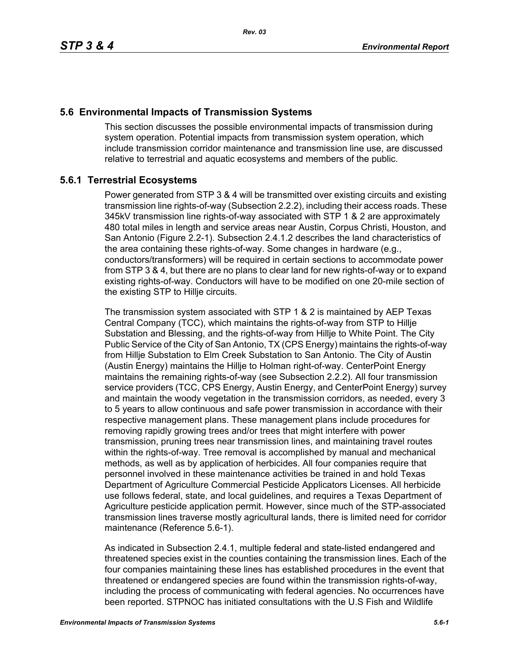## **5.6 Environmental Impacts of Transmission Systems**

This section discusses the possible environmental impacts of transmission during system operation. Potential impacts from transmission system operation, which include transmission corridor maintenance and transmission line use, are discussed relative to terrestrial and aquatic ecosystems and members of the public.

# **5.6.1 Terrestrial Ecosystems**

Power generated from STP 3 & 4 will be transmitted over existing circuits and existing transmission line rights-of-way (Subsection 2.2.2), including their access roads. These 345kV transmission line rights-of-way associated with STP 1 & 2 are approximately 480 total miles in length and service areas near Austin, Corpus Christi, Houston, and San Antonio (Figure 2.2-1). Subsection 2.4.1.2 describes the land characteristics of the area containing these rights-of-way. Some changes in hardware (e.g., conductors/transformers) will be required in certain sections to accommodate power from STP 3 & 4, but there are no plans to clear land for new rights-of-way or to expand existing rights-of-way. Conductors will have to be modified on one 20-mile section of the existing STP to Hillje circuits.

The transmission system associated with STP 1 & 2 is maintained by AEP Texas Central Company (TCC), which maintains the rights-of-way from STP to Hillje Substation and Blessing, and the rights-of-way from Hillje to White Point. The City Public Service of the City of San Antonio, TX (CPS Energy) maintains the rights-of-way from Hillje Substation to Elm Creek Substation to San Antonio. The City of Austin (Austin Energy) maintains the Hillje to Holman right-of-way. CenterPoint Energy maintains the remaining rights-of-way (see Subsection 2.2.2). All four transmission service providers (TCC, CPS Energy, Austin Energy, and CenterPoint Energy) survey and maintain the woody vegetation in the transmission corridors, as needed, every 3 to 5 years to allow continuous and safe power transmission in accordance with their respective management plans. These management plans include procedures for removing rapidly growing trees and/or trees that might interfere with power transmission, pruning trees near transmission lines, and maintaining travel routes within the rights-of-way. Tree removal is accomplished by manual and mechanical methods, as well as by application of herbicides. All four companies require that personnel involved in these maintenance activities be trained in and hold Texas Department of Agriculture Commercial Pesticide Applicators Licenses. All herbicide use follows federal, state, and local guidelines, and requires a Texas Department of Agriculture pesticide application permit. However, since much of the STP-associated transmission lines traverse mostly agricultural lands, there is limited need for corridor maintenance (Reference 5.6-1).

As indicated in Subsection 2.4.1, multiple federal and state-listed endangered and threatened species exist in the counties containing the transmission lines. Each of the four companies maintaining these lines has established procedures in the event that threatened or endangered species are found within the transmission rights-of-way, including the process of communicating with federal agencies. No occurrences have been reported. STPNOC has initiated consultations with the U.S Fish and Wildlife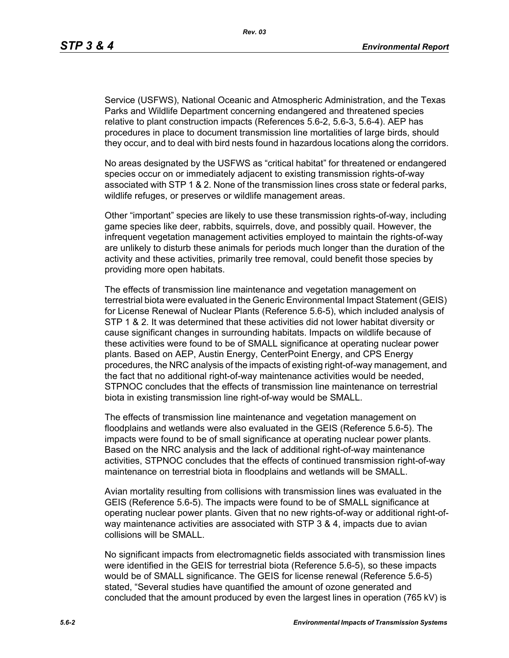Service (USFWS), National Oceanic and Atmospheric Administration, and the Texas Parks and Wildlife Department concerning endangered and threatened species relative to plant construction impacts (References 5.6-2, 5.6-3, 5.6-4). AEP has procedures in place to document transmission line mortalities of large birds, should they occur, and to deal with bird nests found in hazardous locations along the corridors.

No areas designated by the USFWS as "critical habitat" for threatened or endangered species occur on or immediately adjacent to existing transmission rights-of-way associated with STP 1 & 2. None of the transmission lines cross state or federal parks, wildlife refuges, or preserves or wildlife management areas.

Other "important" species are likely to use these transmission rights-of-way, including game species like deer, rabbits, squirrels, dove, and possibly quail. However, the infrequent vegetation management activities employed to maintain the rights-of-way are unlikely to disturb these animals for periods much longer than the duration of the activity and these activities, primarily tree removal, could benefit those species by providing more open habitats.

The effects of transmission line maintenance and vegetation management on terrestrial biota were evaluated in the Generic Environmental Impact Statement (GEIS) for License Renewal of Nuclear Plants (Reference 5.6-5), which included analysis of STP 1 & 2. It was determined that these activities did not lower habitat diversity or cause significant changes in surrounding habitats. Impacts on wildlife because of these activities were found to be of SMALL significance at operating nuclear power plants. Based on AEP, Austin Energy, CenterPoint Energy, and CPS Energy procedures, the NRC analysis of the impacts of existing right-of-way management, and the fact that no additional right-of-way maintenance activities would be needed, STPNOC concludes that the effects of transmission line maintenance on terrestrial biota in existing transmission line right-of-way would be SMALL.

The effects of transmission line maintenance and vegetation management on floodplains and wetlands were also evaluated in the GEIS (Reference 5.6-5). The impacts were found to be of small significance at operating nuclear power plants. Based on the NRC analysis and the lack of additional right-of-way maintenance activities, STPNOC concludes that the effects of continued transmission right-of-way maintenance on terrestrial biota in floodplains and wetlands will be SMALL.

Avian mortality resulting from collisions with transmission lines was evaluated in the GEIS (Reference 5.6-5). The impacts were found to be of SMALL significance at operating nuclear power plants. Given that no new rights-of-way or additional right-ofway maintenance activities are associated with STP 3 & 4, impacts due to avian collisions will be SMALL.

No significant impacts from electromagnetic fields associated with transmission lines were identified in the GEIS for terrestrial biota (Reference 5.6-5), so these impacts would be of SMALL significance. The GEIS for license renewal (Reference 5.6-5) stated, "Several studies have quantified the amount of ozone generated and concluded that the amount produced by even the largest lines in operation (765 kV) is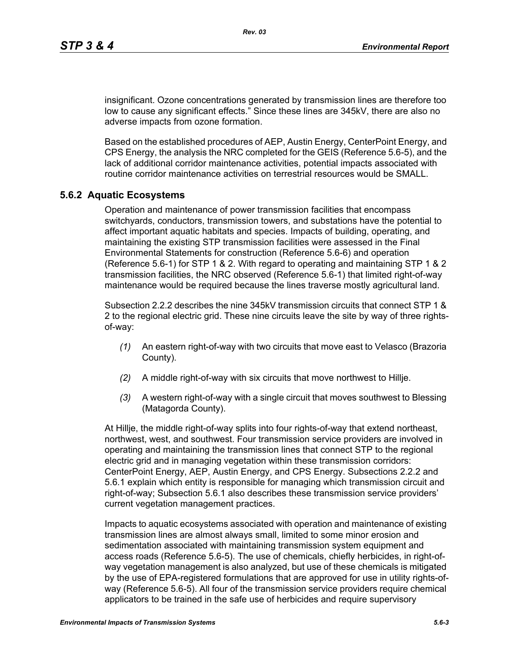insignificant. Ozone concentrations generated by transmission lines are therefore too low to cause any significant effects." Since these lines are 345kV, there are also no adverse impacts from ozone formation.

Based on the established procedures of AEP, Austin Energy, CenterPoint Energy, and CPS Energy, the analysis the NRC completed for the GEIS (Reference 5.6-5), and the lack of additional corridor maintenance activities, potential impacts associated with routine corridor maintenance activities on terrestrial resources would be SMALL.

#### **5.6.2 Aquatic Ecosystems**

Operation and maintenance of power transmission facilities that encompass switchyards, conductors, transmission towers, and substations have the potential to affect important aquatic habitats and species. Impacts of building, operating, and maintaining the existing STP transmission facilities were assessed in the Final Environmental Statements for construction (Reference 5.6-6) and operation (Reference 5.6-1) for STP 1 & 2. With regard to operating and maintaining STP 1 & 2 transmission facilities, the NRC observed (Reference 5.6-1) that limited right-of-way maintenance would be required because the lines traverse mostly agricultural land.

Subsection 2.2.2 describes the nine 345kV transmission circuits that connect STP 1 & 2 to the regional electric grid. These nine circuits leave the site by way of three rightsof-way:

- *(1)* An eastern right-of-way with two circuits that move east to Velasco (Brazoria County).
- *(2)* A middle right-of-way with six circuits that move northwest to Hillje.
- *(3)* A western right-of-way with a single circuit that moves southwest to Blessing (Matagorda County).

At Hillje, the middle right-of-way splits into four rights-of-way that extend northeast, northwest, west, and southwest. Four transmission service providers are involved in operating and maintaining the transmission lines that connect STP to the regional electric grid and in managing vegetation within these transmission corridors: CenterPoint Energy, AEP, Austin Energy, and CPS Energy. Subsections 2.2.2 and 5.6.1 explain which entity is responsible for managing which transmission circuit and right-of-way; Subsection 5.6.1 also describes these transmission service providers' current vegetation management practices.

Impacts to aquatic ecosystems associated with operation and maintenance of existing transmission lines are almost always small, limited to some minor erosion and sedimentation associated with maintaining transmission system equipment and access roads (Reference 5.6-5). The use of chemicals, chiefly herbicides, in right-ofway vegetation management is also analyzed, but use of these chemicals is mitigated by the use of EPA-registered formulations that are approved for use in utility rights-ofway (Reference 5.6-5). All four of the transmission service providers require chemical applicators to be trained in the safe use of herbicides and require supervisory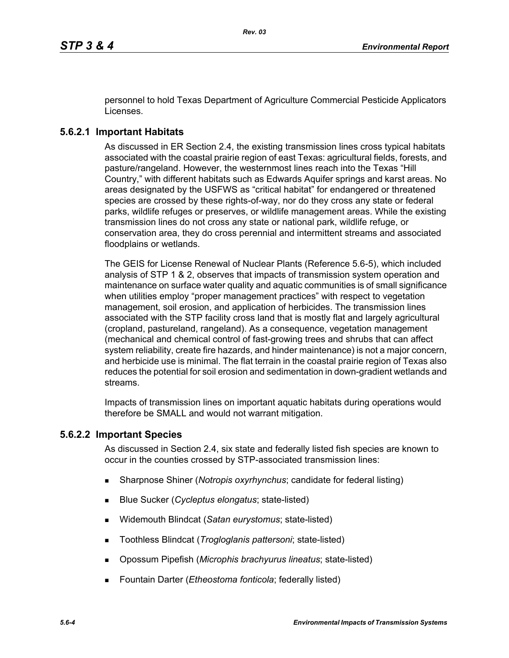personnel to hold Texas Department of Agriculture Commercial Pesticide Applicators Licenses.

## **5.6.2.1 Important Habitats**

As discussed in ER Section 2.4, the existing transmission lines cross typical habitats associated with the coastal prairie region of east Texas: agricultural fields, forests, and pasture/rangeland. However, the westernmost lines reach into the Texas "Hill Country," with different habitats such as Edwards Aquifer springs and karst areas. No areas designated by the USFWS as "critical habitat" for endangered or threatened species are crossed by these rights-of-way, nor do they cross any state or federal parks, wildlife refuges or preserves, or wildlife management areas. While the existing transmission lines do not cross any state or national park, wildlife refuge, or conservation area, they do cross perennial and intermittent streams and associated floodplains or wetlands.

The GEIS for License Renewal of Nuclear Plants (Reference 5.6-5), which included analysis of STP 1 & 2, observes that impacts of transmission system operation and maintenance on surface water quality and aquatic communities is of small significance when utilities employ "proper management practices" with respect to vegetation management, soil erosion, and application of herbicides. The transmission lines associated with the STP facility cross land that is mostly flat and largely agricultural (cropland, pastureland, rangeland). As a consequence, vegetation management (mechanical and chemical control of fast-growing trees and shrubs that can affect system reliability, create fire hazards, and hinder maintenance) is not a major concern, and herbicide use is minimal. The flat terrain in the coastal prairie region of Texas also reduces the potential for soil erosion and sedimentation in down-gradient wetlands and streams.

Impacts of transmission lines on important aquatic habitats during operations would therefore be SMALL and would not warrant mitigation.

### **5.6.2.2 Important Species**

As discussed in Section 2.4, six state and federally listed fish species are known to occur in the counties crossed by STP-associated transmission lines:

- Sharpnose Shiner (*Notropis oxyrhynchus*; candidate for federal listing)
- Blue Sucker (*Cycleptus elongatus*; state-listed)
- Widemouth Blindcat (*Satan eurystomus*; state-listed)
- Toothless Blindcat (*Trogloglanis pattersoni*; state-listed)
- Opossum Pipefish (*Microphis brachyurus lineatus*; state-listed)
- Fountain Darter (*Etheostoma fonticola*; federally listed)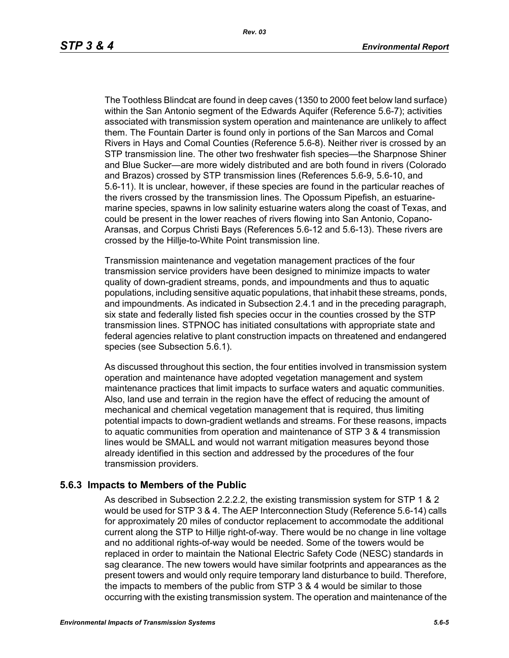The Toothless Blindcat are found in deep caves (1350 to 2000 feet below land surface) within the San Antonio segment of the Edwards Aquifer (Reference 5.6-7); activities associated with transmission system operation and maintenance are unlikely to affect them. The Fountain Darter is found only in portions of the San Marcos and Comal Rivers in Hays and Comal Counties (Reference 5.6-8). Neither river is crossed by an STP transmission line. The other two freshwater fish species—the Sharpnose Shiner and Blue Sucker—are more widely distributed and are both found in rivers (Colorado and Brazos) crossed by STP transmission lines (References 5.6-9, 5.6-10, and 5.6-11). It is unclear, however, if these species are found in the particular reaches of the rivers crossed by the transmission lines. The Opossum Pipefish, an estuarinemarine species, spawns in low salinity estuarine waters along the coast of Texas, and could be present in the lower reaches of rivers flowing into San Antonio, Copano-Aransas, and Corpus Christi Bays (References 5.6-12 and 5.6-13). These rivers are crossed by the Hillje-to-White Point transmission line.

Transmission maintenance and vegetation management practices of the four transmission service providers have been designed to minimize impacts to water quality of down-gradient streams, ponds, and impoundments and thus to aquatic populations, including sensitive aquatic populations, that inhabit these streams, ponds, and impoundments. As indicated in Subsection 2.4.1 and in the preceding paragraph, six state and federally listed fish species occur in the counties crossed by the STP transmission lines. STPNOC has initiated consultations with appropriate state and federal agencies relative to plant construction impacts on threatened and endangered species (see Subsection 5.6.1).

As discussed throughout this section, the four entities involved in transmission system operation and maintenance have adopted vegetation management and system maintenance practices that limit impacts to surface waters and aquatic communities. Also, land use and terrain in the region have the effect of reducing the amount of mechanical and chemical vegetation management that is required, thus limiting potential impacts to down-gradient wetlands and streams. For these reasons, impacts to aquatic communities from operation and maintenance of STP 3 & 4 transmission lines would be SMALL and would not warrant mitigation measures beyond those already identified in this section and addressed by the procedures of the four transmission providers.

#### **5.6.3 Impacts to Members of the Public**

As described in Subsection 2.2.2.2, the existing transmission system for STP 1 & 2 would be used for STP 3 & 4. The AEP Interconnection Study (Reference 5.6-14) calls for approximately 20 miles of conductor replacement to accommodate the additional current along the STP to Hillje right-of-way. There would be no change in line voltage and no additional rights-of-way would be needed. Some of the towers would be replaced in order to maintain the National Electric Safety Code (NESC) standards in sag clearance. The new towers would have similar footprints and appearances as the present towers and would only require temporary land disturbance to build. Therefore, the impacts to members of the public from STP 3 & 4 would be similar to those occurring with the existing transmission system. The operation and maintenance of the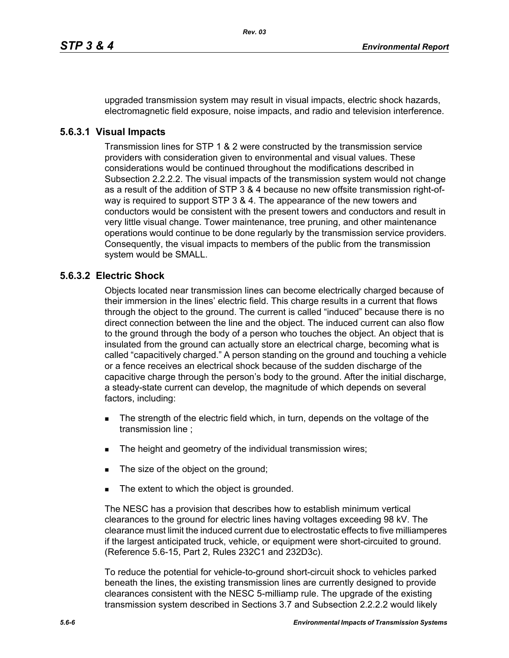upgraded transmission system may result in visual impacts, electric shock hazards, electromagnetic field exposure, noise impacts, and radio and television interference.

#### **5.6.3.1 Visual Impacts**

Transmission lines for STP 1 & 2 were constructed by the transmission service providers with consideration given to environmental and visual values. These considerations would be continued throughout the modifications described in Subsection 2.2.2.2. The visual impacts of the transmission system would not change as a result of the addition of STP 3 & 4 because no new offsite transmission right-ofway is required to support STP 3 & 4. The appearance of the new towers and conductors would be consistent with the present towers and conductors and result in very little visual change. Tower maintenance, tree pruning, and other maintenance operations would continue to be done regularly by the transmission service providers. Consequently, the visual impacts to members of the public from the transmission system would be SMALL.

### **5.6.3.2 Electric Shock**

Objects located near transmission lines can become electrically charged because of their immersion in the lines' electric field. This charge results in a current that flows through the object to the ground. The current is called "induced" because there is no direct connection between the line and the object. The induced current can also flow to the ground through the body of a person who touches the object. An object that is insulated from the ground can actually store an electrical charge, becoming what is called "capacitively charged." A person standing on the ground and touching a vehicle or a fence receives an electrical shock because of the sudden discharge of the capacitive charge through the person's body to the ground. After the initial discharge, a steady-state current can develop, the magnitude of which depends on several factors, including:

- The strength of the electric field which, in turn, depends on the voltage of the transmission line ;
- The height and geometry of the individual transmission wires;
- The size of the object on the ground;
- The extent to which the object is grounded.

The NESC has a provision that describes how to establish minimum vertical clearances to the ground for electric lines having voltages exceeding 98 kV. The clearance must limit the induced current due to electrostatic effects to five milliamperes if the largest anticipated truck, vehicle, or equipment were short-circuited to ground. (Reference 5.6-15, Part 2, Rules 232C1 and 232D3c).

To reduce the potential for vehicle-to-ground short-circuit shock to vehicles parked beneath the lines, the existing transmission lines are currently designed to provide clearances consistent with the NESC 5-milliamp rule. The upgrade of the existing transmission system described in Sections 3.7 and Subsection 2.2.2.2 would likely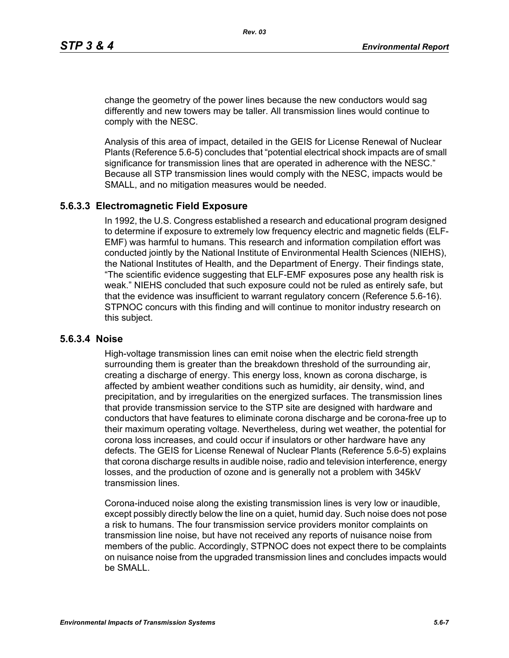change the geometry of the power lines because the new conductors would sag differently and new towers may be taller. All transmission lines would continue to comply with the NESC.

Analysis of this area of impact, detailed in the GEIS for License Renewal of Nuclear Plants (Reference 5.6-5) concludes that "potential electrical shock impacts are of small significance for transmission lines that are operated in adherence with the NESC." Because all STP transmission lines would comply with the NESC, impacts would be SMALL, and no mitigation measures would be needed.

#### **5.6.3.3 Electromagnetic Field Exposure**

In 1992, the U.S. Congress established a research and educational program designed to determine if exposure to extremely low frequency electric and magnetic fields (ELF-EMF) was harmful to humans. This research and information compilation effort was conducted jointly by the National Institute of Environmental Health Sciences (NIEHS), the National Institutes of Health, and the Department of Energy. Their findings state, "The scientific evidence suggesting that ELF-EMF exposures pose any health risk is weak." NIEHS concluded that such exposure could not be ruled as entirely safe, but that the evidence was insufficient to warrant regulatory concern (Reference 5.6-16). STPNOC concurs with this finding and will continue to monitor industry research on this subject.

#### **5.6.3.4 Noise**

High-voltage transmission lines can emit noise when the electric field strength surrounding them is greater than the breakdown threshold of the surrounding air, creating a discharge of energy. This energy loss, known as corona discharge, is affected by ambient weather conditions such as humidity, air density, wind, and precipitation, and by irregularities on the energized surfaces. The transmission lines that provide transmission service to the STP site are designed with hardware and conductors that have features to eliminate corona discharge and be corona-free up to their maximum operating voltage. Nevertheless, during wet weather, the potential for corona loss increases, and could occur if insulators or other hardware have any defects. The GEIS for License Renewal of Nuclear Plants (Reference 5.6-5) explains that corona discharge results in audible noise, radio and television interference, energy losses, and the production of ozone and is generally not a problem with 345kV transmission lines.

Corona-induced noise along the existing transmission lines is very low or inaudible, except possibly directly below the line on a quiet, humid day. Such noise does not pose a risk to humans. The four transmission service providers monitor complaints on transmission line noise, but have not received any reports of nuisance noise from members of the public. Accordingly, STPNOC does not expect there to be complaints on nuisance noise from the upgraded transmission lines and concludes impacts would be SMALL.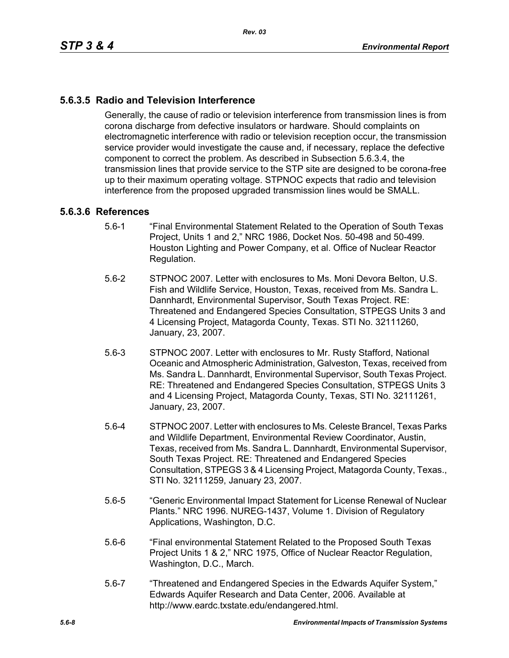# **5.6.3.5 Radio and Television Interference**

Generally, the cause of radio or television interference from transmission lines is from corona discharge from defective insulators or hardware. Should complaints on electromagnetic interference with radio or television reception occur, the transmission service provider would investigate the cause and, if necessary, replace the defective component to correct the problem. As described in Subsection 5.6.3.4, the transmission lines that provide service to the STP site are designed to be corona-free up to their maximum operating voltage. STPNOC expects that radio and television interference from the proposed upgraded transmission lines would be SMALL.

#### **5.6.3.6 References**

- 5.6-1 "Final Environmental Statement Related to the Operation of South Texas Project, Units 1 and 2," NRC 1986, Docket Nos. 50-498 and 50-499. Houston Lighting and Power Company, et al. Office of Nuclear Reactor Regulation.
- 5.6-2 STPNOC 2007. Letter with enclosures to Ms. Moni Devora Belton, U.S. Fish and Wildlife Service, Houston, Texas, received from Ms. Sandra L. Dannhardt, Environmental Supervisor, South Texas Project. RE: Threatened and Endangered Species Consultation, STPEGS Units 3 and 4 Licensing Project, Matagorda County, Texas. STI No. 32111260, January, 23, 2007.
- 5.6-3 STPNOC 2007. Letter with enclosures to Mr. Rusty Stafford, National Oceanic and Atmospheric Administration, Galveston, Texas, received from Ms. Sandra L. Dannhardt, Environmental Supervisor, South Texas Project. RE: Threatened and Endangered Species Consultation, STPEGS Units 3 and 4 Licensing Project, Matagorda County, Texas, STI No. 32111261, January, 23, 2007.
- 5.6-4 STPNOC 2007. Letter with enclosures to Ms. Celeste Brancel, Texas Parks and Wildlife Department, Environmental Review Coordinator, Austin, Texas, received from Ms. Sandra L. Dannhardt, Environmental Supervisor, South Texas Project. RE: Threatened and Endangered Species Consultation, STPEGS 3 & 4 Licensing Project, Matagorda County, Texas., STI No. 32111259, January 23, 2007.
- 5.6-5 "Generic Environmental Impact Statement for License Renewal of Nuclear Plants." NRC 1996. NUREG-1437, Volume 1. Division of Regulatory Applications, Washington, D.C.
- 5.6-6 "Final environmental Statement Related to the Proposed South Texas Project Units 1 & 2," NRC 1975, Office of Nuclear Reactor Regulation, Washington, D.C., March.
- 5.6-7 "Threatened and Endangered Species in the Edwards Aquifer System," Edwards Aquifer Research and Data Center, 2006. Available at http://www.eardc.txstate.edu/endangered.html.